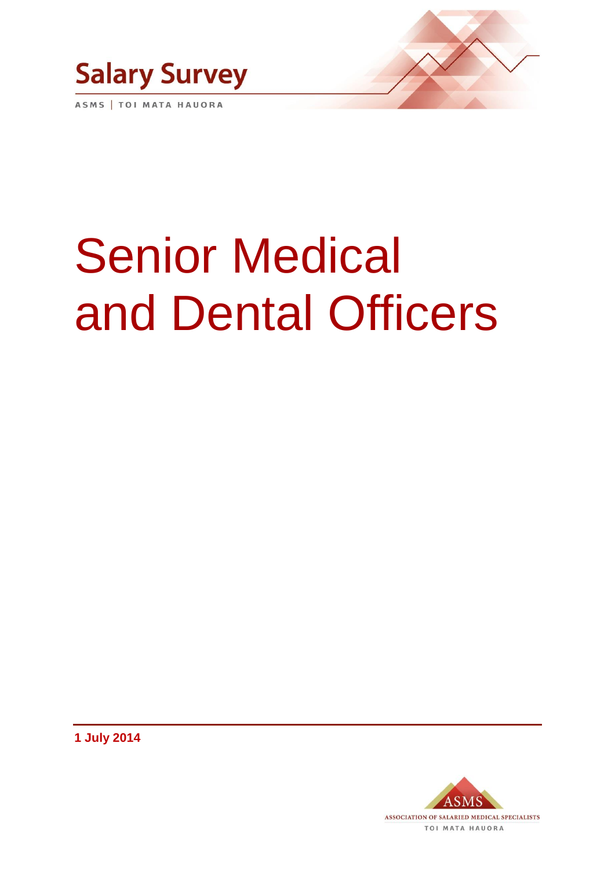

ASMS | TOI MATA HAUORA

# Senior Medical and Dental Officers

**1 July 2014**

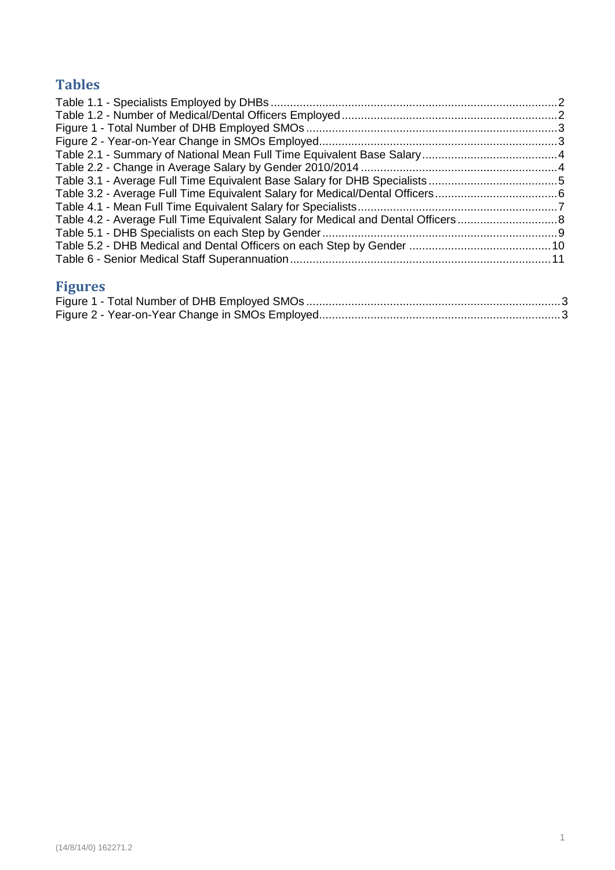# **Tables**

| Table 4.2 - Average Full Time Equivalent Salary for Medical and Dental Officers8 |  |
|----------------------------------------------------------------------------------|--|
|                                                                                  |  |
|                                                                                  |  |
|                                                                                  |  |
|                                                                                  |  |

# **Figures**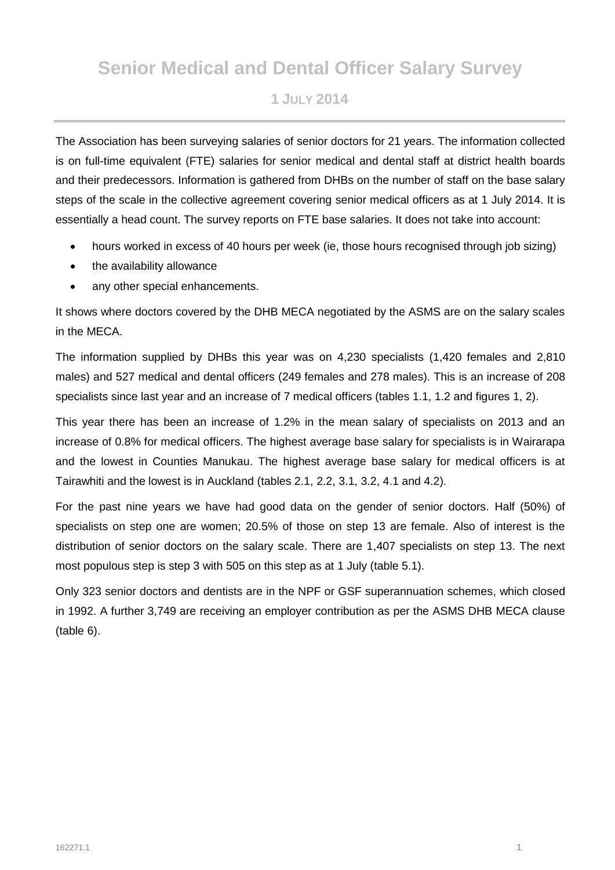# **Senior Medical and Dental Officer Salary Survey**

## **1 JULY 2014**

The Association has been surveying salaries of senior doctors for 21 years. The information collected is on full-time equivalent (FTE) salaries for senior medical and dental staff at district health boards and their predecessors. Information is gathered from DHBs on the number of staff on the base salary steps of the scale in the collective agreement covering senior medical officers as at 1 July 2014. It is essentially a head count. The survey reports on FTE base salaries. It does not take into account:

- hours worked in excess of 40 hours per week (ie, those hours recognised through job sizing)
- the availability allowance
- any other special enhancements.

It shows where doctors covered by the DHB MECA negotiated by the ASMS are on the salary scales in the MECA.

The information supplied by DHBs this year was on 4,230 specialists (1,420 females and 2,810 males) and 527 medical and dental officers (249 females and 278 males). This is an increase of 208 specialists since last year and an increase of 7 medical officers (tables 1.1, 1.2 and figures 1, 2).

This year there has been an increase of 1.2% in the mean salary of specialists on 2013 and an increase of 0.8% for medical officers. The highest average base salary for specialists is in Wairarapa and the lowest in Counties Manukau. The highest average base salary for medical officers is at Tairawhiti and the lowest is in Auckland (tables 2.1, 2.2, 3.1, 3.2, 4.1 and 4.2).

For the past nine years we have had good data on the gender of senior doctors. Half (50%) of specialists on step one are women; 20.5% of those on step 13 are female. Also of interest is the distribution of senior doctors on the salary scale. There are 1,407 specialists on step 13. The next most populous step is step 3 with 505 on this step as at 1 July (table 5.1).

Only 323 senior doctors and dentists are in the NPF or GSF superannuation schemes, which closed in 1992. A further 3,749 are receiving an employer contribution as per the ASMS DHB MECA clause (table 6).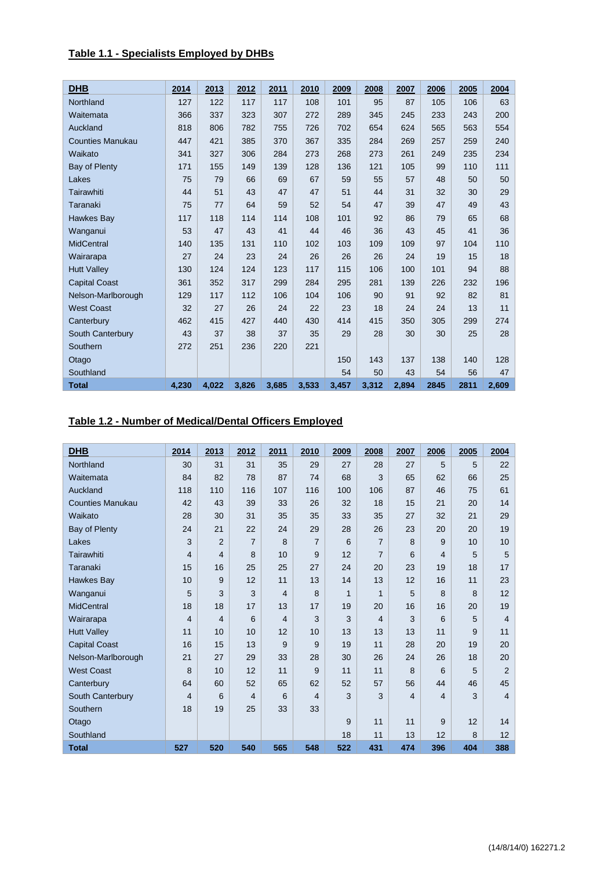#### <span id="page-5-0"></span>**Table 1.1 - Specialists Employed by DHBs**

| <b>DHB</b>              | 2014  | 2013  | 2012  | 2011  | 2010  | 2009  | 2008  | 2007  | 2006 | 2005 | 2004  |
|-------------------------|-------|-------|-------|-------|-------|-------|-------|-------|------|------|-------|
| Northland               | 127   | 122   | 117   | 117   | 108   | 101   | 95    | 87    | 105  | 106  | 63    |
| Waitemata               | 366   | 337   | 323   | 307   | 272   | 289   | 345   | 245   | 233  | 243  | 200   |
| Auckland                | 818   | 806   | 782   | 755   | 726   | 702   | 654   | 624   | 565  | 563  | 554   |
| <b>Counties Manukau</b> | 447   | 421   | 385   | 370   | 367   | 335   | 284   | 269   | 257  | 259  | 240   |
| Waikato                 | 341   | 327   | 306   | 284   | 273   | 268   | 273   | 261   | 249  | 235  | 234   |
| Bay of Plenty           | 171   | 155   | 149   | 139   | 128   | 136   | 121   | 105   | 99   | 110  | 111   |
| Lakes                   | 75    | 79    | 66    | 69    | 67    | 59    | 55    | 57    | 48   | 50   | 50    |
| Tairawhiti              | 44    | 51    | 43    | 47    | 47    | 51    | 44    | 31    | 32   | 30   | 29    |
| Taranaki                | 75    | 77    | 64    | 59    | 52    | 54    | 47    | 39    | 47   | 49   | 43    |
| Hawkes Bay              | 117   | 118   | 114   | 114   | 108   | 101   | 92    | 86    | 79   | 65   | 68    |
| Wanganui                | 53    | 47    | 43    | 41    | 44    | 46    | 36    | 43    | 45   | 41   | 36    |
| <b>MidCentral</b>       | 140   | 135   | 131   | 110   | 102   | 103   | 109   | 109   | 97   | 104  | 110   |
| Wairarapa               | 27    | 24    | 23    | 24    | 26    | 26    | 26    | 24    | 19   | 15   | 18    |
| <b>Hutt Valley</b>      | 130   | 124   | 124   | 123   | 117   | 115   | 106   | 100   | 101  | 94   | 88    |
| <b>Capital Coast</b>    | 361   | 352   | 317   | 299   | 284   | 295   | 281   | 139   | 226  | 232  | 196   |
| Nelson-Marlborough      | 129   | 117   | 112   | 106   | 104   | 106   | 90    | 91    | 92   | 82   | 81    |
| <b>West Coast</b>       | 32    | 27    | 26    | 24    | 22    | 23    | 18    | 24    | 24   | 13   | 11    |
| Canterbury              | 462   | 415   | 427   | 440   | 430   | 414   | 415   | 350   | 305  | 299  | 274   |
| South Canterbury        | 43    | 37    | 38    | 37    | 35    | 29    | 28    | 30    | 30   | 25   | 28    |
| Southern                | 272   | 251   | 236   | 220   | 221   |       |       |       |      |      |       |
| Otago                   |       |       |       |       |       | 150   | 143   | 137   | 138  | 140  | 128   |
| Southland               |       |       |       |       |       | 54    | 50    | 43    | 54   | 56   | 47    |
| <b>Total</b>            | 4,230 | 4.022 | 3,826 | 3,685 | 3,533 | 3,457 | 3,312 | 2,894 | 2845 | 2811 | 2.609 |

#### <span id="page-5-1"></span>**Table 1.2 - Number of Medical/Dental Officers Employed**

| <b>DHB</b>              | 2014           | 2013           | 2012           | 2011 | 2010           | 2009         | 2008           | 2007           | 2006           | 2005 | 2004           |
|-------------------------|----------------|----------------|----------------|------|----------------|--------------|----------------|----------------|----------------|------|----------------|
| Northland               | 30             | 31             | 31             | 35   | 29             | 27           | 28             | 27             | 5              | 5    | 22             |
| Waitemata               | 84             | 82             | 78             | 87   | 74             | 68           | 3              | 65             | 62             | 66   | 25             |
| Auckland                | 118            | 110            | 116            | 107  | 116            | 100          | 106            | 87             | 46             | 75   | 61             |
| <b>Counties Manukau</b> | 42             | 43             | 39             | 33   | 26             | 32           | 18             | 15             | 21             | 20   | 14             |
| Waikato                 | 28             | 30             | 31             | 35   | 35             | 33           | 35             | 27             | 32             | 21   | 29             |
| Bay of Plenty           | 24             | 21             | 22             | 24   | 29             | 28           | 26             | 23             | 20             | 20   | 19             |
| Lakes                   | 3              | $\overline{2}$ | $\overline{7}$ | 8    | $\overline{7}$ | 6            | $\overline{7}$ | 8              | 9              | 10   | 10             |
| Tairawhiti              | $\overline{4}$ | $\overline{4}$ | 8              | 10   | 9              | 12           | $\overline{7}$ | 6              | 4              | 5    | 5              |
| Taranaki                | 15             | 16             | 25             | 25   | 27             | 24           | 20             | 23             | 19             | 18   | 17             |
| Hawkes Bay              | 10             | 9              | 12             | 11   | 13             | 14           | 13             | 12             | 16             | 11   | 23             |
| Wanganui                | 5              | 3              | 3              | 4    | 8              | $\mathbf{1}$ | 1              | 5              | 8              | 8    | 12             |
| <b>MidCentral</b>       | 18             | 18             | 17             | 13   | 17             | 19           | 20             | 16             | 16             | 20   | 19             |
| Wairarapa               | $\overline{4}$ | $\overline{4}$ | 6              | 4    | 3              | 3            | $\overline{4}$ | 3              | 6              | 5    | $\overline{4}$ |
| <b>Hutt Valley</b>      | 11             | 10             | 10             | 12   | 10             | 13           | 13             | 13             | 11             | 9    | 11             |
| <b>Capital Coast</b>    | 16             | 15             | 13             | 9    | 9              | 19           | 11             | 28             | 20             | 19   | 20             |
| Nelson-Marlborough      | 21             | 27             | 29             | 33   | 28             | 30           | 26             | 24             | 26             | 18   | 20             |
| <b>West Coast</b>       | 8              | 10             | 12             | 11   | 9              | 11           | 11             | 8              | 6              | 5    | $\overline{2}$ |
| Canterbury              | 64             | 60             | 52             | 65   | 62             | 52           | 57             | 56             | 44             | 46   | 45             |
| South Canterbury        | $\overline{4}$ | 6              | $\overline{4}$ | 6    | 4              | 3            | 3              | $\overline{4}$ | $\overline{4}$ | 3    | $\overline{4}$ |
| Southern                | 18             | 19             | 25             | 33   | 33             |              |                |                |                |      |                |
| Otago                   |                |                |                |      |                | 9            | 11             | 11             | 9              | 12   | 14             |
| Southland               |                |                |                |      |                | 18           | 11             | 13             | 12             | 8    | 12             |
| <b>Total</b>            | 527            | 520            | 540            | 565  | 548            | 522          | 431            | 474            | 396            | 404  | 388            |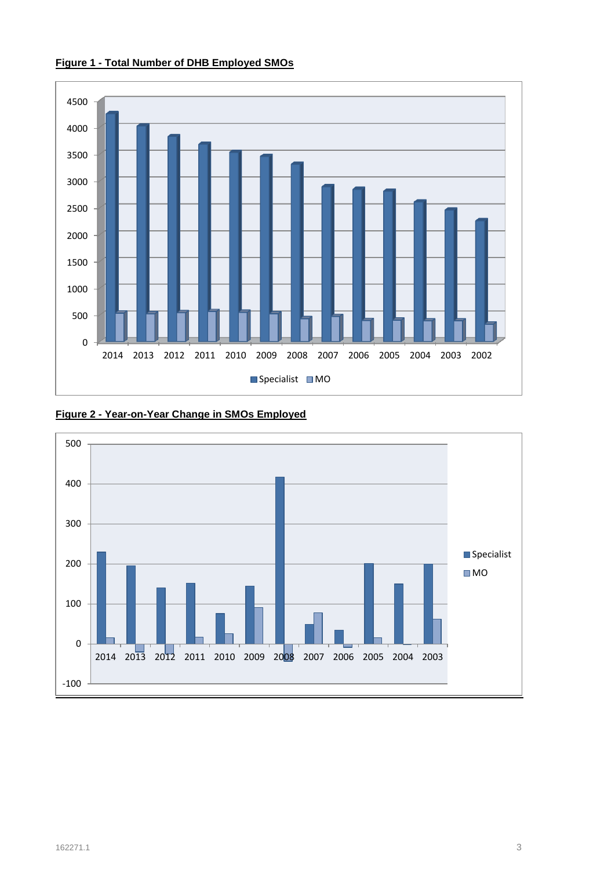

#### <span id="page-6-0"></span>**Figure 1 - Total Number of DHB Employed SMOs**

<span id="page-6-1"></span>

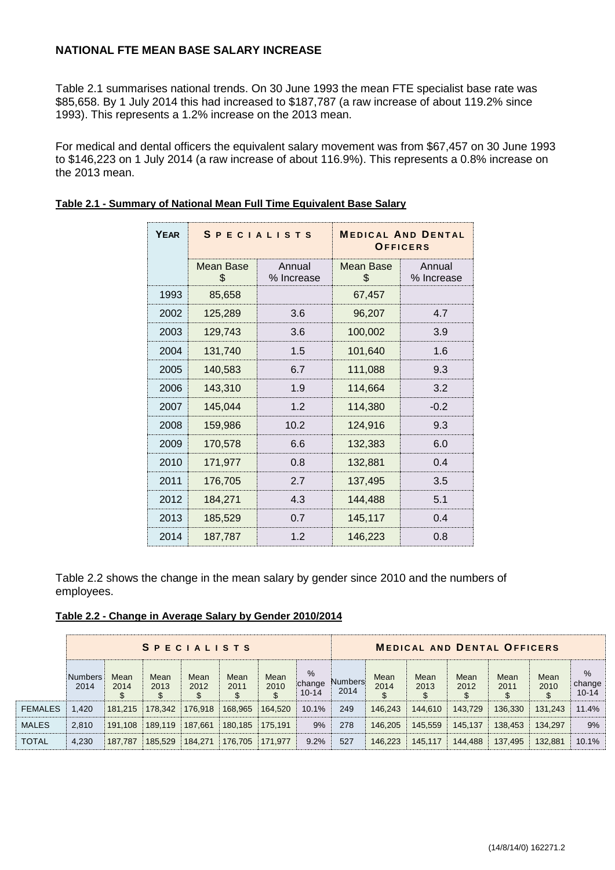#### **NATIONAL FTE MEAN BASE SALARY INCREASE**

Table 2.1 summarises national trends. On 30 June 1993 the mean FTE specialist base rate was \$85,658. By 1 July 2014 this had increased to \$187,787 (a raw increase of about 119.2% since 1993). This represents a 1.2% increase on the 2013 mean.

For medical and dental officers the equivalent salary movement was from \$67,457 on 30 June 1993 to \$146,223 on 1 July 2014 (a raw increase of about 116.9%). This represents a 0.8% increase on the 2013 mean.

| <b>YEAR</b> |                 | <b>SPECIALISTS</b>   | <b>MEDICAL AND DENTAL</b><br>OFFICERS |                      |  |  |  |
|-------------|-----------------|----------------------|---------------------------------------|----------------------|--|--|--|
|             | Mean Base<br>\$ | Annual<br>% Increase | Mean Base<br>\$                       | Annual<br>% Increase |  |  |  |
| 1993        | 85,658          |                      | 67,457                                |                      |  |  |  |
| 2002        | 125,289         | 3.6                  | 96,207                                | 4.7                  |  |  |  |
| 2003        | 129,743         | 3.6                  | 100,002                               | 3.9                  |  |  |  |
| 2004        | 131,740         | 1.5                  | 101,640                               | 1.6                  |  |  |  |
| 2005        | 140,583         | 6.7                  | 111,088                               | 9.3                  |  |  |  |
| 2006        | 143,310         | 1.9                  | 114,664                               | 3.2                  |  |  |  |
| 2007        | 145,044         | 1.2                  | 114,380                               | $-0.2$               |  |  |  |
| 2008        | 159,986         | 10.2                 | 124,916                               | 9.3                  |  |  |  |
| 2009        | 170,578         | 6.6                  | 132,383                               | 6.0                  |  |  |  |
| 2010        | 171,977         | 0.8                  | 132,881                               | 0.4                  |  |  |  |
| 2011        | 176,705         | 2.7                  | 137,495                               | 3.5                  |  |  |  |
| 2012        | 184,271         | 4.3                  | 144,488                               | 5.1                  |  |  |  |
| 2013        | 185,529         | 0.7                  | 145,117                               | 0.4                  |  |  |  |
| 2014        | 187,787         | 1.2                  | 146,223                               | 0.8                  |  |  |  |

#### <span id="page-7-0"></span>**Table 2.1 - Summary of National Mean Full Time Equivalent Base Salary**

Table 2.2 shows the change in the mean salary by gender since 2010 and the numbers of employees.

<span id="page-7-1"></span>

| Table 2.2 - Change in Average Salary by Gender 2010/2014 |
|----------------------------------------------------------|
|----------------------------------------------------------|

|                | <b>SPECIALISTS</b> |              |              |              |              |              |                             | <b>MEDICAL AND DENTAL OFFICERS</b> |              |              |              |              |              |                             |
|----------------|--------------------|--------------|--------------|--------------|--------------|--------------|-----------------------------|------------------------------------|--------------|--------------|--------------|--------------|--------------|-----------------------------|
|                | Numbers<br>2014    | Mean<br>2014 | Mean<br>2013 | Mean<br>2012 | Mean<br>2011 | Mean<br>2010 | $\%$<br>change<br>$10 - 14$ | Numbers<br>2014                    | Mean<br>2014 | Mean<br>2013 | Mean<br>2012 | Mean<br>2011 | Mean<br>2010 | $\%$<br>change<br>$10 - 14$ |
| <b>FEMALES</b> | .420               | 181.215      | 178.342      | 176.918      | 168.965      | 164.520      | 10.1%                       | 249                                | 146.243      | 144.610      | 143.729      | 136.330      | 131.243      | 11.4%                       |
| <b>MALES</b>   | 2.810              | 191.108      | 189.119      | 187.661      | 180.185      | 175.191      | 9%                          | 278                                | 146.205      | 145.559      | 145.137      | 138.453      | 134.297      | 9%                          |
| <b>TOTAL</b>   | 4.230              | 187,787      | 185.529      | 184,271      | 176,705      | 171.977      | 9.2%                        | 527                                | 146,223      | 145.117      | 144,488      | 137.495      | 132,881      | 10.1%                       |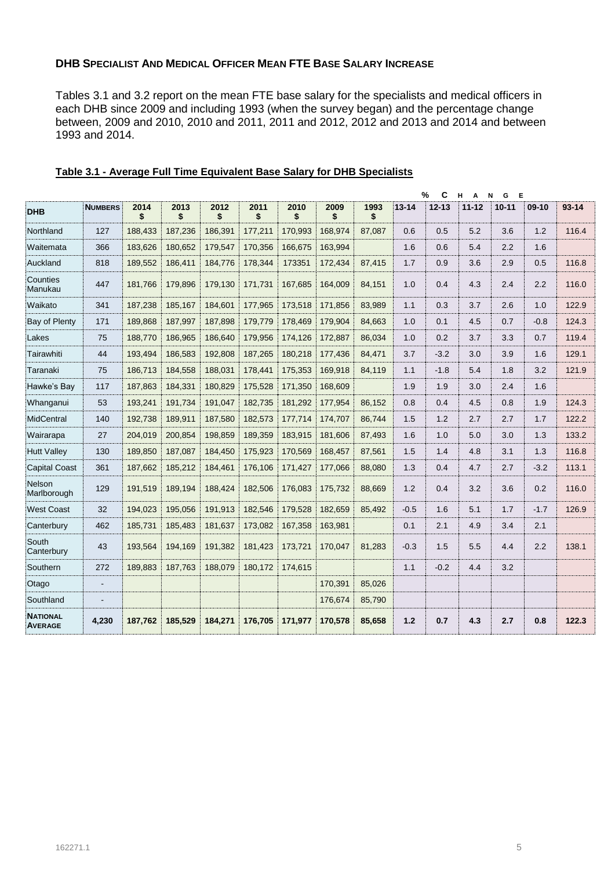#### **DHB SPECIALIST AND MEDICAL OFFICER MEAN FTE BASE SALARY INCREASE**

Tables 3.1 and 3.2 report on the mean FTE base salary for the specialists and medical officers in each DHB since 2009 and including 1993 (when the survey began) and the percentage change between, 2009 and 2010, 2010 and 2011, 2011 and 2012, 2012 and 2013 and 2014 and between 1993 and 2014.

|                                   |                |            |            |            |            |            |            |            |           | $\frac{9}{6}$<br>C | н<br>A    | G<br>Е<br>N |         |           |
|-----------------------------------|----------------|------------|------------|------------|------------|------------|------------|------------|-----------|--------------------|-----------|-------------|---------|-----------|
| <b>DHB</b>                        | <b>NUMBERS</b> | 2014<br>\$ | 2013<br>\$ | 2012<br>\$ | 2011<br>\$ | 2010<br>\$ | 2009<br>\$ | 1993<br>\$ | $13 - 14$ | $12 - 13$          | $11 - 12$ | $10 - 11$   | $09-10$ | $93 - 14$ |
| Northland                         | 127            | 188.433    | 187,236    | 186.391    | 177,211    | 170,993    | 168.974    | 87.087     | 0.6       | 0.5                | 5.2       | 3.6         | 1.2     | 116.4     |
| Waitemata                         | 366            | 183.626    | 180.652    | 179.547    | 170.356    | 166.675    | 163.994    |            | 1.6       | 0.6                | 5.4       | 2.2         | 1.6     |           |
| Auckland                          | 818            | 189,552    | 186,411    | 184,776    | 178,344    | 173351     | 172,434    | 87,415     | 1.7       | 0.9                | 3.6       | 2.9         | 0.5     | 116.8     |
| Counties<br>Manukau               | 447            | 181,766    | 179,896    | 179.130    | 171,731    | 167,685    | 164,009    | 84.151     | 1.0       | 0.4                | 4.3       | 2.4         | 2.2     | 116.0     |
| Waikato                           | 341            | 187,238    | 185,167    | 184,601    | 177,965    | 173,518    | 171,856    | 83.989     | 1.1       | 0.3                | 3.7       | 2.6         | 1.0     | 122.9     |
| Bay of Plenty                     | 171            | 189,868    | 187,997    | 187,898    | 179,779    | 178,469    | 179,904    | 84,663     | 1.0       | 0.1                | 4.5       | 0.7         | $-0.8$  | 124.3     |
| Lakes                             | 75             | 188,770    | 186,965    | 186,640    | 179,956    | 174,126    | 172,887    | 86,034     | 1.0       | 0.2                | 3.7       | 3.3         | 0.7     | 119.4     |
| Tairawhiti                        | 44             | 193,494    | 186,583    | 192.808    | 187,265    | 180,218    | 177,436    | 84.471     | 3.7       | $-3.2$             | 3.0       | 3.9         | 1.6     | 129.1     |
| Taranaki                          | 75             | 186,713    | 184,558    | 188,031    | 178,441    | 175,353    | 169,918    | 84.119     | 1.1       | $-1.8$             | 5.4       | 1.8         | 3.2     | 121.9     |
| Hawke's Bay                       | 117            | 187,863    | 184,331    | 180.829    | 175,528    | 171,350    | 168,609    |            | 1.9       | 1.9                | 3.0       | 2.4         | 1.6     |           |
| Whanganui                         | 53             | 193,241    | 191,734    | 191,047    | 182,735    | 181,292    | 177,954    | 86,152     | 0.8       | 0.4                | 4.5       | 0.8         | 1.9     | 124.3     |
| MidCentral                        | 140            | 192,738    | 189,911    | 187,580    | 182,573    | 177,714    | 174,707    | 86,744     | 1.5       | 1.2                | 2.7       | 2.7         | 1.7     | 122.2     |
| Wairarapa                         | 27             | 204,019    | 200,854    | 198,859    | 189,359    | 183,915    | 181,606    | 87,493     | 1.6       | 1.0                | 5.0       | 3.0         | 1.3     | 133.2     |
| <b>Hutt Valley</b>                | 130            | 189,850    | 187,087    | 184,450    | 175,923    | 170,569    | 168,457    | 87,561     | 1.5       | 1.4                | 4.8       | 3.1         | 1.3     | 116.8     |
| <b>Capital Coast</b>              | 361            | 187,662    | 185,212    | 184,461    | 176,106    | 171,427    | 177,066    | 88,080     | 1.3       | 0.4                | 4.7       | 2.7         | $-3.2$  | 113.1     |
| <b>Nelson</b><br>Marlborough      | 129            | 191,519    | 189,194    | 188,424    | 182,506    | 176,083    | 175,732    | 88,669     | 1.2       | 0.4                | 3.2       | 3.6         | 0.2     | 116.0     |
| <b>West Coast</b>                 | 32             | 194,023    | 195,056    | 191,913    | 182,546    | 179,528    | 182,659    | 85.492     | $-0.5$    | 1.6                | 5.1       | 1.7         | $-1.7$  | 126.9     |
| Canterbury                        | 462            | 185.731    | 185,483    | 181.637    | 173,082    | 167,358    | 163,981    |            | 0.1       | 2.1                | 4.9       | 3.4         | 2.1     |           |
| South<br>Canterbury               | 43             | 193,564    | 194,169    | 191,382    | 181,423    | 173.721    | 170,047    | 81,283     | $-0.3$    | 1.5                | 5.5       | 4.4         | 2.2     | 138.1     |
| Southern                          | 272            | 189,883    | 187,763    | 188,079    | 180,172    | 174,615    |            |            | 1.1       | $-0.2$             | 4.4       | 3.2         |         |           |
| Otago                             | $\blacksquare$ |            |            |            |            |            | 170,391    | 85.026     |           |                    |           |             |         |           |
| Southland                         |                |            |            |            |            |            | 176,674    | 85,790     |           |                    |           |             |         |           |
| <b>NATIONAL</b><br><b>AVERAGE</b> | 4,230          | 187,762    | 185,529    | 184,271    | 176,705    | 171,977    | 170,578    | 85,658     | 1.2       | 0.7                | 4.3       | 2.7         | 0.8     | 122.3     |

#### <span id="page-8-0"></span>**Table 3.1 - Average Full Time Equivalent Base Salary for DHB Specialists**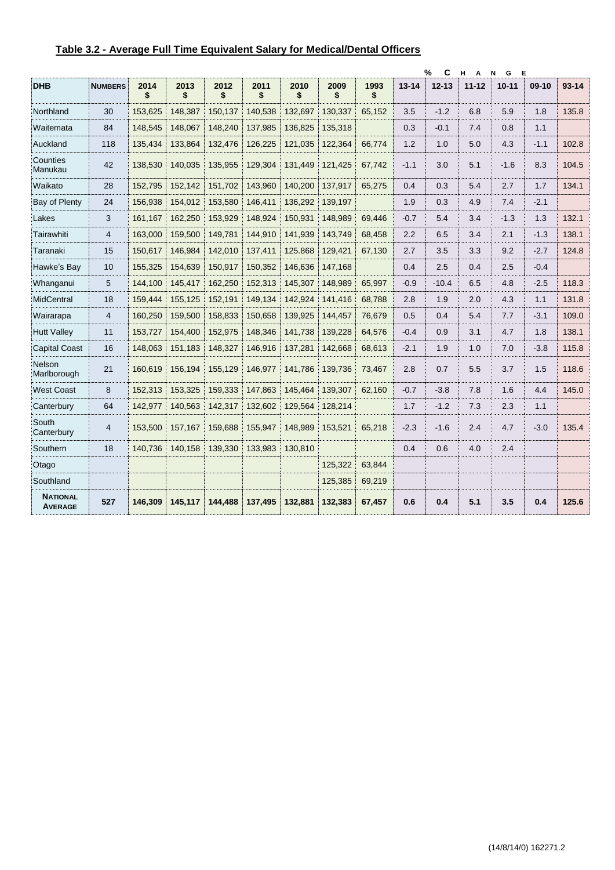<span id="page-9-0"></span>

| Table 3.2 - Average Full Time Equivalent Salary for Medical/Dental Officers |  |
|-----------------------------------------------------------------------------|--|
|                                                                             |  |

|                                   |                |            |            |            |            |            |            |            |           | %<br>С    | н<br>Α    | Е<br>N<br>G |         |           |
|-----------------------------------|----------------|------------|------------|------------|------------|------------|------------|------------|-----------|-----------|-----------|-------------|---------|-----------|
| <b>DHB</b>                        | <b>NUMBERS</b> | 2014<br>\$ | 2013<br>\$ | 2012<br>\$ | 2011<br>\$ | 2010<br>\$ | 2009<br>\$ | 1993<br>\$ | $13 - 14$ | $12 - 13$ | $11 - 12$ | $10 - 11$   | $09-10$ | $93 - 14$ |
| Northland                         | 30             | 153,625    | 148,387    | 150,137    | 140,538    | 132,697    | 130,337    | 65,152     | 3.5       | $-1.2$    | 6.8       | 5.9         | 1.8     | 135.8     |
| Waitemata                         | 84             | 148,545    | 148,067    | 148,240    | 137,985    | 136,825    | 135,318    |            | 0.3       | $-0.1$    | 7.4       | 0.8         | 1.1     |           |
| Auckland                          | 118            | 135,434    | 133,864    | 132,476    | 126,225    | 121,035    | 122,364    | 66,774     | 1.2       | 1.0       | 5.0       | 4.3         | $-1.1$  | 102.8     |
| Counties<br>Manukau               | 42             | 138.530    | 140.035    | 135.955    | 129.304    | 131.449    | 121.425    | 67.742     | $-1.1$    | 3.0       | 5.1       | $-1.6$      | 8.3     | 104.5     |
| Waikato                           | 28             | 152,795    | 152,142    | 151,702    | 143,960    | 140,200    | 137,917    | 65,275     | 0.4       | 0.3       | 5.4       | 2.7         | 1.7     | 134.1     |
| <b>Bay of Plenty</b>              | 24             | 156,938    | 154,012    | 153,580    | 146,411    | 136,292    | 139,197    |            | 1.9       | 0.3       | 4.9       | 7.4         | $-2.1$  |           |
| Lakes                             | 3              | 161,167    | 162,250    | 153,929    | 148,924    | 150,931    | 148,989    | 69,446     | $-0.7$    | 5.4       | 3.4       | $-1.3$      | 1.3     | 132.1     |
| Tairawhiti                        | 4              | 163,000    | 159,500    | 149,781    | 144,910    | 141,939    | 143,749    | 68,458     | 2.2       | 6.5       | 3.4       | 2.1         | $-1.3$  | 138.1     |
| Taranaki                          | 15             | 150,617    | 146,984    | 142,010    | 137,411    | 125.868    | 129,421    | 67,130     | 2.7       | 3.5       | 3.3       | 9.2         | $-2.7$  | 124.8     |
| Hawke's Bay                       | 10             | 155,325    | 154,639    | 150,917    | 150,352    | 146,636    | 147,168    |            | 0.4       | 2.5       | 0.4       | 2.5         | $-0.4$  |           |
| Whanganui                         | 5              | 144.100    | 145,417    | 162,250    | 152,313    | 145,307    | 148,989    | 65,997     | $-0.9$    | $-10.4$   | 6.5       | 4.8         | $-2.5$  | 118.3     |
| MidCentral                        | 18             | 159.444    | 155.125    | 152.191    | 149,134    | 142,924    | 141.416    | 68.788     | 2.8       | 1.9       | 2.0       | 4.3         | 1.1     | 131.8     |
| Wairarapa                         | $\overline{4}$ | 160.250    | 159,500    | 158,833    | 150,658    | 139.925    | 144,457    | 76,679     | 0.5       | 0.4       | 5.4       | 7.7         | $-3.1$  | 109.0     |
| <b>Hutt Valley</b>                | 11             | 153,727    | 154,400    | 152,975    | 148,346    | 141,738    | 139,228    | 64,576     | $-0.4$    | 0.9       | 3.1       | 4.7         | 1.8     | 138.1     |
| <b>Capital Coast</b>              | 16             | 148,063    | 151,183    | 148,327    | 146,916    | 137,281    | 142,668    | 68,613     | $-2.1$    | 1.9       | 1.0       | 7.0         | $-3.8$  | 115.8     |
| Nelson<br>Marlborough             | 21             | 160.619    | 156,194    | 155.129    | 146,977    | 141,786    | 139,736    | 73,467     | 2.8       | 0.7       | 5.5       | 3.7         | 1.5     | 118.6     |
| <b>West Coast</b>                 | 8              | 152.313    | 153,325    | 159.333    | 147,863    | 145.464    | 139,307    | 62.160     | $-0.7$    | $-3.8$    | 7.8       | 1.6         | 4.4     | 145.0     |
| Canterbury                        | 64             | 142,977    | 140,563    | 142,317    | 132,602    | 129,564    | 128,214    |            | 1.7       | $-1.2$    | 7.3       | 2.3         | 1.1     |           |
| South<br>Canterbury               | $\overline{4}$ | 153.500    | 157,167    | 159.688    | 155,947    | 148.989    | 153,521    | 65.218     | $-2.3$    | $-1.6$    | 2.4       | 4.7         | $-3.0$  | 135.4     |
| Southern                          | 18             | 140,736    | 140,158    | 139,330    | 133,983    | 130,810    |            |            | 0.4       | 0.6       | 4.0       | 2.4         |         |           |
| Otago                             |                |            |            |            |            |            | 125,322    | 63,844     |           |           |           |             |         |           |
| Southland                         |                |            |            |            |            |            | 125,385    | 69,219     |           |           |           |             |         |           |
| <b>NATIONAL</b><br><b>AVERAGE</b> | 527            | 146.309    | 145.117    | 144,488    | 137,495    | 132.881    | 132,383    | 67,457     | 0.6       | 0.4       | 5.1       | 3.5         | 0.4     | 125.6     |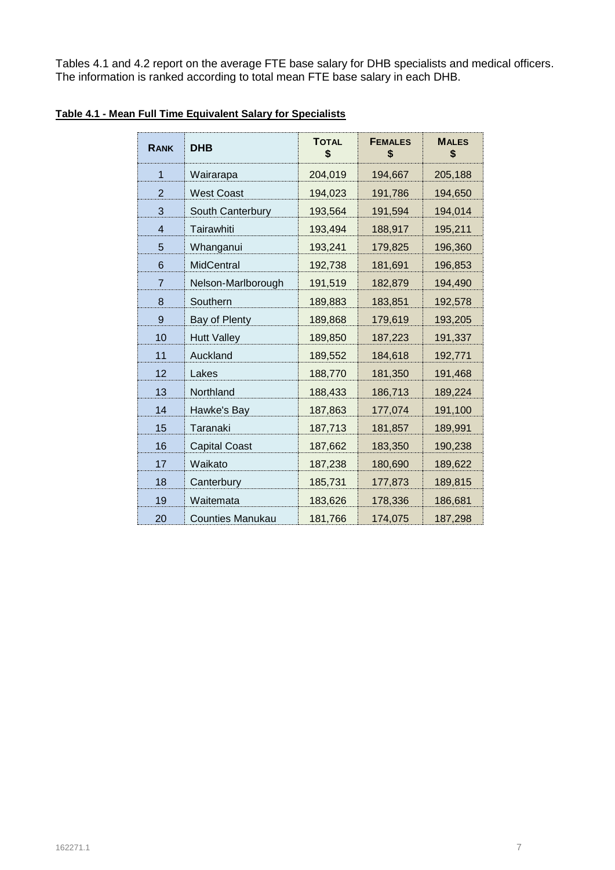Tables 4.1 and 4.2 report on the average FTE base salary for DHB specialists and medical officers. The information is ranked according to total mean FTE base salary in each DHB.

| <b>RANK</b>    | <b>DHB</b>              | <b>TOTAL</b><br>\$ | <b>FEMALES</b><br>\$ | <b>MALES</b><br>\$ |
|----------------|-------------------------|--------------------|----------------------|--------------------|
| 1              | Wairarapa               | 204,019            | 194,667              | 205,188            |
| $\overline{2}$ | <b>West Coast</b>       | 194,023            | 191,786              | 194,650            |
| 3              | South Canterbury        | 193,564            | 191,594              | 194,014            |
| $\overline{4}$ | Tairawhiti              | 193,494            | 188,917              | 195,211            |
| 5              | Whanganui               | 193,241            | 179,825              | 196,360            |
| 6              | MidCentral              | 192,738            | 181,691              | 196,853            |
| 7              | Nelson-Marlborough      | 191,519            | 182,879              | 194,490            |
| 8              | Southern                | 189,883            | 183,851              | 192,578            |
| 9              | Bay of Plenty           | 189,868            | 179,619              | 193,205            |
| 10             | <b>Hutt Valley</b>      | 189,850            | 187,223              | 191,337            |
| 11             | Auckland                | 189,552            | 184,618              | 192,771            |
| 12             | Lakes                   | 188,770            | 181,350              | 191,468            |
| 13             | Northland               | 188,433            | 186,713              | 189,224            |
| 14             | Hawke's Bay             | 187,863            | 177,074              | 191,100            |
| 15             | Taranaki                | 187,713            | 181,857              | 189,991            |
| 16             | <b>Capital Coast</b>    | 187,662            | 183,350              | 190,238            |
| 17             | Waikato                 | 187,238            | 180,690              | 189,622            |
| 18             | Canterbury              | 185,731            | 177,873              | 189,815            |
| 19             | Waitemata               | 183,626            | 178,336              | 186,681            |
| 20             | <b>Counties Manukau</b> | 181,766            | 174,075              | 187,298            |

### <span id="page-10-0"></span>**Table 4.1 - Mean Full Time Equivalent Salary for Specialists**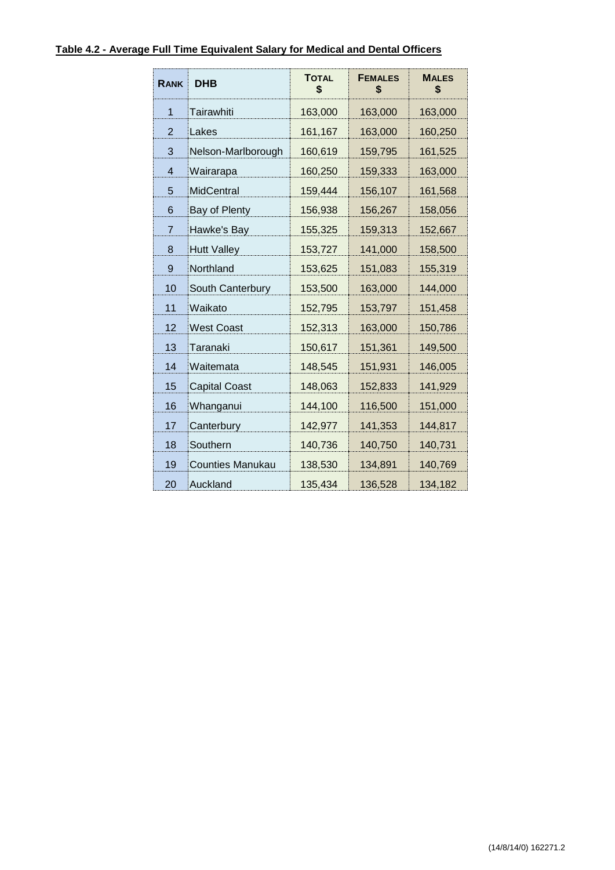#### <span id="page-11-0"></span>**Table 4.2 - Average Full Time Equivalent Salary for Medical and Dental Officers**

| <b>RANK</b> | <b>DHB</b>              | <b>TOTAL</b><br>\$ | <b>FEMALES</b><br>\$ | <b>MALES</b><br>\$ |
|-------------|-------------------------|--------------------|----------------------|--------------------|
| 1           | Tairawhiti              | 163,000            | 163,000              | 163,000            |
| 2           | Lakes                   | 161,167            | 163,000              | 160,250            |
| 3           | Nelson-Marlborough      | 160,619            | 159,795              | 161,525            |
| 4           | Wairarapa               | 160,250            | 159,333              | 163,000            |
| 5           | <b>MidCentral</b>       | 159,444            | 156,107              | 161,568            |
| 6           | Bay of Plenty           | 156,938            | 156,267              | 158,056            |
| 7           | Hawke's Bay             | 155,325            | 159,313              | 152,667            |
| 8           | <b>Hutt Valley</b>      | 153,727            | 141,000              | 158,500            |
| 9           | Northland               | 153,625            | 151,083              | 155,319            |
| 10          | South Canterbury        | 153,500            | 163,000              | 144,000            |
| 11          | Waikato                 | 152,795            | 153,797              | 151,458            |
| 12          | <b>West Coast</b>       | 152,313            | 163,000              | 150,786            |
| 13          | Taranaki                | 150,617            | 151,361              | 149,500            |
| 14          | Waitemata               | 148,545            | 151,931              | 146,005            |
| 15          | <b>Capital Coast</b>    | 148,063            | 152,833              | 141,929            |
| 16          | Whanganui               | 144,100            | 116,500              | 151,000            |
| 17          | Canterbury              | 142,977            | 141,353              | 144,817            |
| 18          | Southern                | 140,736            | 140,750              | 140,731            |
| 19          | <b>Counties Manukau</b> | 138,530            | 134,891              | 140,769            |
| 20          | Auckland                | 135,434            | 136,528              | 134,182            |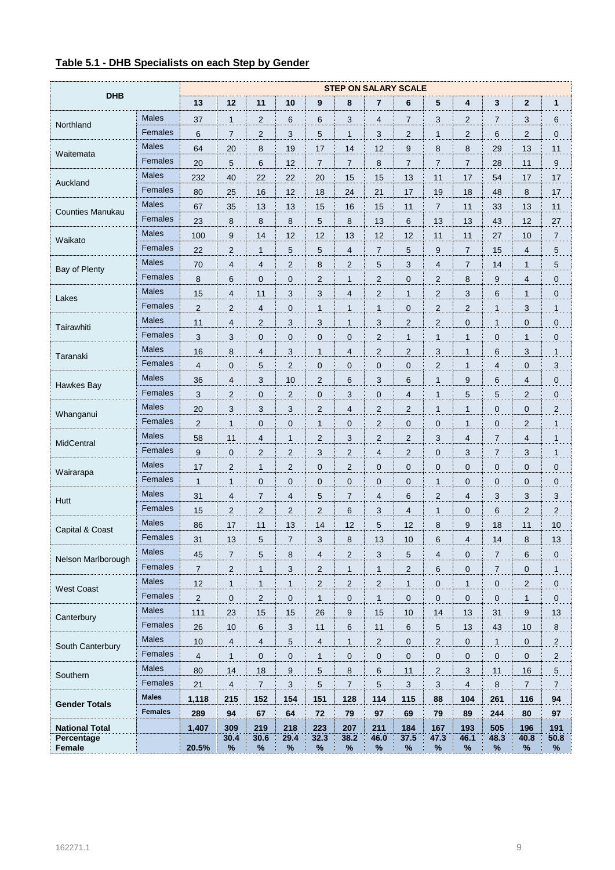#### <span id="page-12-0"></span>**Table 5.1 - DHB Specialists on each Step by Gender**

| <b>DHB</b>              |                | <b>STEP ON SALARY SCALE</b> |                         |                         |                  |                |                |                |                |                |                     |                |                  |                |
|-------------------------|----------------|-----------------------------|-------------------------|-------------------------|------------------|----------------|----------------|----------------|----------------|----------------|---------------------|----------------|------------------|----------------|
|                         |                | 13                          | 12                      | 11                      | 10               | 9              | 8              | $\overline{7}$ | 6              | 5              | 4                   | 3              | $\boldsymbol{2}$ | $\mathbf{1}$   |
| Northland               | <b>Males</b>   | 37                          | 1                       | $\overline{c}$          | 6                | 6              | 3              | 4              | 7              | 3              | 2                   | 7              | 3                | 6              |
|                         | Females        | $6\phantom{1}$              | $\overline{7}$          | $\overline{\mathbf{c}}$ | 3                | 5              | $\mathbf{1}$   | 3              | $\overline{c}$ | 1              | 2                   | 6              | $\overline{2}$   | $\mathbf 0$    |
| Waitemata               | <b>Males</b>   | 64                          | 20                      | 8                       | 19               | 17             | 14             | 12             | 9              | 8              | 8                   | 29             | 13               | 11             |
|                         | Females        | 20                          | 5                       | 6                       | 12               | $\overline{7}$ | $\overline{7}$ | 8              | $\overline{7}$ | $\overline{7}$ | $\overline{7}$      | 28             | 11               | 9              |
| Auckland                | <b>Males</b>   | 232                         | 40                      | 22                      | 22               | 20             | 15             | 15             | 13             | 11             | 17                  | 54             | 17               | 17             |
|                         | Females        | 80                          | 25                      | 16                      | 12               | 18             | 24             | 21             | 17             | 19             | 18                  | 48             | 8                | 17             |
| <b>Counties Manukau</b> | <b>Males</b>   | 67                          | 35                      | 13                      | 13               | 15             | 16             | 15             | 11             | $\overline{7}$ | 11                  | 33             | 13               | 11             |
|                         | Females        | 23                          | 8                       | 8                       | 8                | 5              | 8              | 13             | 6              | 13             | 13                  | 43             | 12               | 27             |
|                         | <b>Males</b>   | 100                         | 9                       | 14                      | 12               | 12             | 13             | 12             | 12             | 11             | 11                  | 27             | 10               | $\overline{7}$ |
| Waikato                 | Females        | 22                          | $\overline{c}$          | $\mathbf{1}$            | 5                | 5              | $\overline{4}$ | $\overline{7}$ | 5              | 9              | $\overline{7}$      | 15             | 4                | 5              |
|                         | <b>Males</b>   | 70                          | 4                       | $\overline{4}$          | $\overline{c}$   | 8              | $\overline{2}$ | 5              | 3              | 4              | $\overline{7}$      | 14             | $\mathbf{1}$     | 5              |
| Bay of Plenty           | Females        | 8                           | 6                       | $\pmb{0}$               | $\mathbf 0$      | $\overline{2}$ | $\mathbf{1}$   | $\overline{2}$ | 0              | $\overline{2}$ | 8                   | 9              | 4                | $\pmb{0}$      |
|                         | <b>Males</b>   | 15                          | 4                       | 11                      | 3                | 3              | $\overline{4}$ | $\overline{2}$ | $\mathbf{1}$   | $\overline{2}$ | 3                   | 6              | $\mathbf{1}$     | $\mathbf 0$    |
| Lakes                   | Females        | $\overline{2}$              | $\overline{c}$          | $\overline{4}$          | $\mathbf 0$      | $\mathbf{1}$   | $\mathbf{1}$   | $\mathbf{1}$   | $\mathbf 0$    | 2              | $\overline{c}$      | 1              | 3                | $\mathbf{1}$   |
|                         | <b>Males</b>   | 11                          | $\overline{\mathbf{4}}$ | $\overline{c}$          | 3                | 3              | $\mathbf{1}$   | 3              | $\overline{2}$ | $\overline{2}$ | $\mathbf 0$         | 1              | $\pmb{0}$        | $\mathbf 0$    |
| Tairawhiti              | Females        | 3                           | 3                       | $\pmb{0}$               | $\mathbf 0$      | $\mathbf 0$    | $\mathbf{0}$   | $\overline{2}$ | $\mathbf{1}$   | 1              | 1                   | 0              | $\mathbf{1}$     | $\mathbf 0$    |
| Taranaki                | <b>Males</b>   | 16                          | 8                       | $\overline{4}$          | 3                | $\mathbf{1}$   | $\overline{4}$ | $\overline{2}$ | $\overline{2}$ | 3              | 1                   | 6              | 3                | $\mathbf{1}$   |
|                         | Females        | $\overline{4}$              | 0                       | 5                       | $\overline{2}$   | $\mathbf 0$    | $\mathbf 0$    | $\mathbf 0$    | 0              | $\overline{2}$ | $\mathbf{1}$        | 4              | $\pmb{0}$        | 3              |
| Hawkes Bay              | <b>Males</b>   | 36                          | 4                       | 3                       | 10               | 2              | 6              | 3              | 6              | 1              | 9                   | 6              | 4                | $\mathbf 0$    |
|                         | Females        | 3                           | $\overline{c}$          | 0                       | $\overline{c}$   | $\mathbf 0$    | 3              | $\mathbf 0$    | 4              | 1              | 5                   | 5              | $\overline{2}$   | $\mathbf 0$    |
| Whanganui               | <b>Males</b>   | 20                          | 3                       | 3                       | 3                | 2              | $\overline{4}$ | $\overline{2}$ | $\overline{2}$ | $\mathbf{1}$   | 1                   | 0              | $\pmb{0}$        | $\overline{c}$ |
|                         | Females        | $\overline{2}$              | 1                       | $\mathbf 0$             | $\mathbf 0$      | $\mathbf{1}$   | $\mathbf 0$    | 2              | 0              | 0              | 1                   | 0              | $\overline{c}$   | $\mathbf{1}$   |
| MidCentral              | <b>Males</b>   | 58                          | 11                      | 4                       | $\mathbf{1}$     | $\overline{c}$ | 3              | $\overline{c}$ | $\overline{c}$ | 3              | 4                   | $\overline{7}$ | 4                | $\mathbf{1}$   |
|                         | Females        | 9                           | 0                       | $\overline{c}$          | $\overline{c}$   | 3              | $\overline{2}$ | 4              | $\overline{2}$ | $\mathbf 0$    | 3                   | $\overline{7}$ | 3                | $\mathbf{1}$   |
| Wairarapa               | <b>Males</b>   | 17                          | $\overline{2}$          | $\mathbf{1}$            | $\overline{c}$   | $\mathbf 0$    | $\mathbf{2}$   | 0              | 0              | 0              | 0                   | 0              | 0                | $\mathbf 0$    |
|                         | Females        | $\mathbf{1}$                | 1                       | 0                       | $\mathbf 0$      | $\mathbf 0$    | $\mathbf 0$    | $\mathbf 0$    | $\mathbf 0$    | 1              | 0                   | 0              | $\mathbf 0$      | $\mathbf 0$    |
| Hutt                    | <b>Males</b>   | 31                          | $\overline{\mathbf{4}}$ | $\boldsymbol{7}$        | $\overline{4}$   | 5              | $\overline{7}$ | 4              | 6              | $\overline{2}$ | $\overline{4}$      | 3              | 3                | 3              |
|                         | Females        | 15                          | 2                       | $\overline{c}$          | $\overline{c}$   | 2              | 6              | 3              | 4              | 1              | 0                   | 6              | $\overline{2}$   | 2              |
|                         | <b>Males</b>   | 86                          | 17                      | 11                      | 13               | 14             | 12             | 5              | 12             | 8              | 9                   | 18             | 11               | 10             |
| Capital & Coast         | Females        | 31                          | 13                      | 5                       | $\overline{7}$   | 3              | 8              | 13             | 10             | 6              | 4                   | 14             | 8                | 13             |
|                         | Males          | 45                          | $\overline{7}$          | 5                       | 8                | 4              | 2              | 3              | 5              | 4              | 0                   | $\overline{7}$ | 6                | 0              |
| Nelson Marlborough      | Females        | $\overline{7}$              | $\overline{c}$          | $\mathbf{1}$            | 3                | 2              | $\mathbf{1}$   | $\mathbf{1}$   | $\overline{2}$ | 6              | $\mathbf 0$         | $\overline{7}$ | $\mathbf 0$      | $\mathbf{1}$   |
| <b>West Coast</b>       | Males          | 12                          | $\mathbf{1}$            | $\mathbf{1}$            | $\mathbf{1}$     | $\overline{2}$ | 2              | $\overline{2}$ | $\mathbf{1}$   | 0              | 1                   | 0              | $\sqrt{2}$       | $\mathbf 0$    |
|                         | Females        | $\overline{2}$              | $\pmb{0}$               | $\sqrt{2}$              | $\mathbf 0$      | $\mathbf{1}$   | $\mathbf 0$    | $\mathbf{1}$   | $\mathbf 0$    | $\mathbf 0$    | 0                   | 0              | $\mathbf{1}$     | $\mathbf 0$    |
| Canterbury              | <b>Males</b>   | 111                         | 23                      | 15                      | 15               | 26             | 9              | 15             | 10             | 14             | 13                  | 31             | $\boldsymbol{9}$ | 13             |
|                         | Females        | 26                          | 10                      | $\,6\,$                 | $\mathbf{3}$     | 11             | 6              | 11             | 6              | 5              | 13                  | 43             | $10$             | 8              |
| South Canterbury        | <b>Males</b>   | 10                          | $\overline{\mathbf{4}}$ | $\overline{4}$          | 5                | $\overline{4}$ | $\mathbf{1}$   | 2              | $\mathbf 0$    | $\overline{2}$ | $\mathsf{O}\xspace$ | 1              | $\pmb{0}$        | $\sqrt{2}$     |
|                         | Females        | $\overline{4}$              | $\mathbf{1}$            | $\mathbf 0$             | $\mathbf 0$      | $\mathbf{1}$   | $\mathbf 0$    | 0              | 0              | 0              | $\mathbf 0$         | 0              | $\pmb{0}$        | $\sqrt{2}$     |
| Southern                | Males          | 80                          | 14                      | 18                      | $\boldsymbol{9}$ | 5              | 8              | 6              | 11             | 2              | 3                   | 11             | 16               | $\sqrt{5}$     |
|                         | Females        | 21                          | $\overline{4}$          | $\sqrt{7}$              | $\mathbf{3}$     | $\sqrt{5}$     | $\overline{7}$ | 5              | 3              | 3              | $\overline{4}$      | $\bf 8$        | $\boldsymbol{7}$ | $\overline{7}$ |
| <b>Gender Totals</b>    | <b>Males</b>   | 1,118                       | 215                     | 152                     | 154              | 151            | 128            | 114            | 115            | 88             | 104                 | 261            | 116              | 94             |
|                         | <b>Females</b> | 289                         | 94                      | 67                      | 64               | 72             | 79             | 97             | 69             | 79             | 89                  | 244            | 80               | 97             |
| <b>National Total</b>   |                | 1,407                       | 309                     | 219                     | 218              | 223            | 207            | 211            | 184            | 167            | 193                 | 505            | 196              | 191            |
| Percentage<br>Female    |                | 20.5%                       | 30.4<br>%               | 30.6<br>%               | 29.4<br>%        | 32.3<br>$\%$   | 38.2<br>%      | 46.0<br>$\%$   | 37.5<br>%      | 47.3<br>$\%$   | 46.1<br>%           | 48.3<br>%      | 40.8<br>$\%$     | 50.8<br>%      |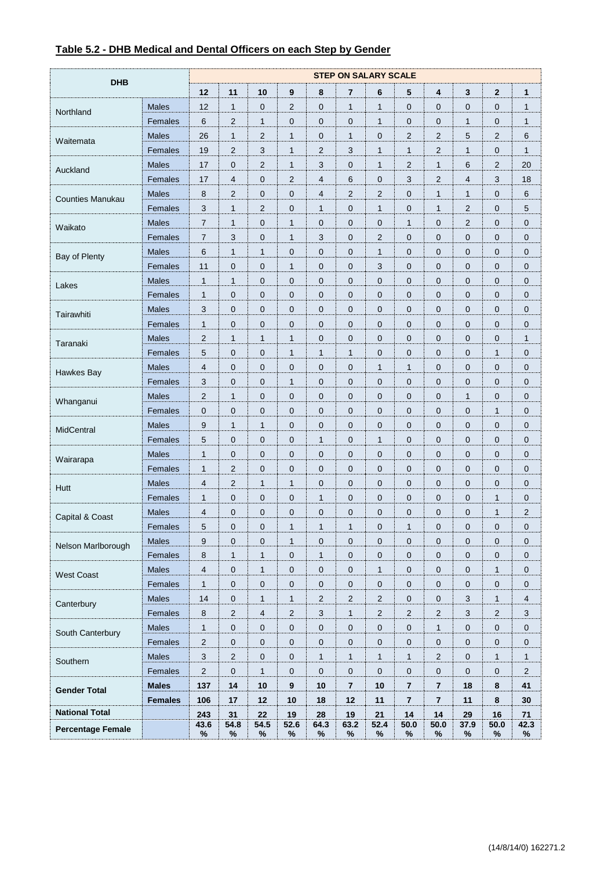<span id="page-13-0"></span>

| Table 5.2 - DHB Medical and Dental Officers on each Step by Gender |  |  |  |
|--------------------------------------------------------------------|--|--|--|
|                                                                    |  |  |  |

| <b>DHB</b>               |                | <b>STEP ON SALARY SCALE</b> |                         |                |                     |                           |                |                |                |                         |                |                         |                         |
|--------------------------|----------------|-----------------------------|-------------------------|----------------|---------------------|---------------------------|----------------|----------------|----------------|-------------------------|----------------|-------------------------|-------------------------|
|                          |                | 12                          | 11                      | 10             | 9                   | 8                         | 7              | 6              | 5              | 4                       | 3              | $\overline{\mathbf{2}}$ | $\mathbf{1}$            |
| Northland                | <b>Males</b>   | 12                          | $\mathbf{1}$            | $\pmb{0}$      | 2                   | 0                         | $\mathbf{1}$   | $\mathbf{1}$   | $\mathbf 0$    | 0                       | 0              | 0                       | 1                       |
|                          | Females        | 6                           | 2                       | 1              | $\mathbf{0}$        | $\mathbf 0$               | 0              | 1              | $\mathbf 0$    | 0                       | 1              | 0                       | $\mathbf{1}$            |
|                          | <b>Males</b>   | 26                          | 1                       | $\overline{2}$ | $\mathbf{1}$        | $\mathbf 0$               | $\mathbf{1}$   | 0              | $\overline{2}$ | $\overline{2}$          | 5              | $\overline{2}$          | 6                       |
| Waitemata                | Females        | 19                          | 2                       | 3              | $\mathbf{1}$        | $\overline{2}$            | 3              | 1              | $\mathbf{1}$   | $\overline{2}$          | $\mathbf{1}$   | 0                       | $\mathbf{1}$            |
| Auckland                 | <b>Males</b>   | 17                          | 0                       | 2              | $\mathbf{1}$        | 3                         | 0              | 1              | $\overline{2}$ | $\mathbf{1}$            | 6              | 2                       | 20                      |
|                          | Females        | 17                          | $\overline{\mathbf{4}}$ | 0              | 2                   | $\overline{4}$            | 6              | 0              | 3              | $\overline{2}$          | $\overline{4}$ | 3                       | 18                      |
| <b>Counties Manukau</b>  | <b>Males</b>   | 8                           | 2                       | $\pmb{0}$      | $\mathbf 0$         | 4                         | $\overline{c}$ | 2              | $\mathbf 0$    | $\mathbf{1}$            | $\mathbf{1}$   | 0                       | $\,6\,$                 |
|                          | Females        | 3                           | 1                       | 2              | $\mathbf 0$         | $\mathbf{1}$              | 0              | 1              | $\mathbf 0$    | $\mathbf{1}$            | 2              | 0                       | 5                       |
| Waikato                  | <b>Males</b>   | $\overline{7}$              | $\mathbf{1}$            | 0              | $\mathbf{1}$        | 0                         | 0              | 0              | $\mathbf{1}$   | 0                       | $\overline{2}$ | 0                       | $\mathbf 0$             |
|                          | Females        | $\overline{7}$              | 3                       | $\pmb{0}$      | $\mathbf{1}$        | 3                         | $\mathbf 0$    | 2              | $\mathbf 0$    | $\mathbf 0$             | 0              | 0                       | $\pmb{0}$               |
|                          | <b>Males</b>   | 6                           | 1                       | 1              | $\mathbf 0$         | 0                         | 0              | 1              | $\mathbf 0$    | 0                       | $\mathbf 0$    | 0                       | $\mathbf 0$             |
| Bay of Plenty            | Females        | 11                          | 0                       | 0              | $\mathbf{1}$        | 0                         | 0              | 3              | $\mathbf 0$    | 0                       | 0              | 0                       | $\mathbf 0$             |
|                          | <b>Males</b>   | $\mathbf{1}$                | 1                       | $\pmb{0}$      | $\mathbf 0$         | $\mathbf 0$               | 0              | 0              | $\mathbf 0$    | $\mathbf 0$             | $\overline{0}$ | 0                       | $\mathbf 0$             |
| Lakes                    | Females        | $\mathbf{1}$                | 0                       | 0              | $\mathbf 0$         | $\mathbf 0$               | 0              | 0              | $\mathbf 0$    | $\mathbf 0$             | 0              | 0                       | $\mathbf 0$             |
|                          | <b>Males</b>   | 3                           | 0                       | 0              | $\mathbf 0$         | 0                         | 0              | 0              | $\mathbf 0$    | 0                       | 0              | 0                       | $\mathbf 0$             |
| Tairawhiti               | Females        | $\mathbf{1}$                | 0                       | $\mathbf 0$    | $\mathbf 0$         | $\mathbf 0$               | 0              | 0              | $\mathbf 0$    | 0                       | 0              | 0                       | $\mathbf 0$             |
|                          | <b>Males</b>   | 2                           | 1                       | 1              | $\mathbf{1}$        | $\mathbf 0$               | 0              | 0              | $\mathbf 0$    | 0                       | 0              | 0                       | 1                       |
| Taranaki                 | Females        | 5                           | 0                       | 0              | $\mathbf{1}$        | $\mathbf{1}$              | $\mathbf{1}$   | 0              | $\mathbf 0$    | 0                       | 0              | 1                       | $\mathbf 0$             |
| Hawkes Bay               | <b>Males</b>   | 4                           | 0                       | $\pmb{0}$      | $\mathbf 0$         | 0                         | 0              | 1              | $\mathbf{1}$   | 0                       | 0              | 0                       | $\mathbf 0$             |
|                          | Females        | 3                           | 0                       | 0              | $\mathbf{1}$        | $\mathbf 0$               | 0              | 0              | $\mathbf 0$    | $\mathbf 0$             | $\mathbf 0$    | 0                       | $\mathbf 0$             |
| Whanganui                | <b>Males</b>   | $\overline{2}$              | 1                       | 0              | $\mathbf 0$         | 0                         | $\mathbf 0$    | 0              | $\mathbf 0$    | 0                       | $\mathbf{1}$   | 0                       | $\mathbf 0$             |
|                          | Females        | $\mathbf 0$                 | 0                       | $\mathbf 0$    | $\mathbf 0$         | $\mathbf 0$               | 0              | 0              | $\mathbf 0$    | $\mathbf 0$             | 0              | 1                       | $\mathbf 0$             |
| MidCentral               | <b>Males</b>   | 9                           | 1                       | 1              | $\mathbf 0$         | $\mathbf 0$               | 0              | 0              | $\mathbf 0$    | 0                       | 0              | 0                       | $\mathbf 0$             |
|                          | Females        | 5                           | 0                       | 0              | $\mathbf 0$         | $\mathbf{1}$              | 0              | 1              | $\mathbf 0$    | 0                       | 0              | 0                       | $\mathbf 0$             |
| Wairarapa                | <b>Males</b>   | $\mathbf{1}$                | 0                       | $\pmb{0}$      | $\mathbf 0$         | 0                         | 0              | 0              | $\mathbf 0$    | 0                       | $\mathbf 0$    | 0                       | $\mathbf 0$             |
|                          | Females        | $\mathbf{1}$                | 2                       | 0              | $\mathbf 0$         | $\mathbf 0$               | 0              | 0              | $\mathbf 0$    | $\mathbf 0$             | $\mathbf 0$    | 0                       | $\mathbf 0$             |
| Hutt                     | <b>Males</b>   | $\overline{4}$              | $\overline{2}$          | $\mathbf{1}$   | $\mathbf{1}$        | $\mathbf 0$               | 0              | 0              | $\mathbf 0$    | 0                       | 0              | 0                       | $\mathbf 0$             |
|                          | Females        | $\mathbf{1}$                | 0                       | $\mathbf 0$    | $\mathbf 0$         | $\mathbf{1}$              | 0              | 0              | $\mathbf 0$    | 0                       | 0              | 1                       | $\mathbf 0$             |
| Capital & Coast          | <b>Males</b>   | 4                           | 0                       | 0              | $\mathbf 0$         | $\mathbf 0$               | 0              | 0              | $\mathbf{0}$   | $\mathbf{0}$            | 0              | 1                       | $\overline{\mathbf{c}}$ |
|                          | Females        | 5                           | 0                       | 0              | 1                   | $\mathbf{1}$              | 1              | 0              | 1              | $\pmb{0}$               | 0              | 0                       | 0                       |
| Nelson Marlborough       | Males          | 9                           | 0                       | $\pmb{0}$      | $\mathbf{1}$        | 0                         | 0              | 0              | $\mathbf 0$    | $\pmb{0}$               | 0              | 0                       | $\mathbf 0$             |
|                          | Females        | $\bf 8$                     | 1                       | $\mathbf{1}$   | $\mathbf 0$         | $\mathbf{1}$              | 0              | 0              | $\mathbf 0$    | $\pmb{0}$               | 0              | 0                       | $\mathbf 0$             |
| <b>West Coast</b>        | Males          | $\overline{\mathbf{4}}$     | $\pmb{0}$               | $\mathbf{1}$   | $\mathsf{O}\xspace$ | $\pmb{0}$                 | 0              | $\mathbf{1}$   | $\pmb{0}$      | $\pmb{0}$               | $\pmb{0}$      | $\mathbf{1}$            | $\pmb{0}$               |
|                          | Females        | $\mathbf{1}$                | $\pmb{0}$               | $\pmb{0}$      | $\mathsf{O}\xspace$ | $\pmb{0}$                 | 0              | 0              | $\pmb{0}$      | $\pmb{0}$               | 0              | $\pmb{0}$               | $\mathbf 0$             |
| Canterbury               | Males          | 14                          | 0                       | $\mathbf{1}$   | $\mathbf{1}$        | $\sqrt{2}$                | 2              | 2              | $\mathbf 0$    | $\pmb{0}$               | 3              | 1                       | $\overline{4}$          |
|                          | Females        | $\bf 8$                     | $\overline{c}$          | $\sqrt{4}$     | $\overline{c}$      | $\ensuremath{\mathsf{3}}$ | $\mathbf{1}$   | $\overline{c}$ | $\mathbf{2}$   | $\overline{2}$          | $\sqrt{3}$     | $\overline{c}$          | $\mathbf{3}$            |
| South Canterbury         | Males          | $\mathbf{1}$                | $\pmb{0}$               | $\pmb{0}$      | $\mathsf{O}\xspace$ | 0                         | 0              | 0              | $\pmb{0}$      | $\mathbf{1}$            | 0              | 0                       | $\pmb{0}$               |
|                          | Females        | $\sqrt{2}$                  | 0                       | $\pmb{0}$      | $\mathbf 0$         | 0                         | 0              | 0              | $\mathbf 0$    | $\mathbf 0$             | 0              | 0                       | $\mathbf 0$             |
|                          | Males          | $\sqrt{3}$                  | $\overline{c}$          | $\pmb{0}$      | $\mathsf{O}\xspace$ | $\mathbf{1}$              | $\mathbf{1}$   | $\mathbf{1}$   | $\mathbf{1}$   | $\overline{c}$          | $\pmb{0}$      | $\mathbf{1}$            | $\mathbf{1}$            |
| Southern                 | Females        | $\mathbf{2}$                | $\pmb{0}$               | $\mathbf{1}$   | $\mathsf{O}\xspace$ | $\mathsf{O}\xspace$       | 0              | 0              | $\pmb{0}$      | $\pmb{0}$               | $\pmb{0}$      | $\pmb{0}$               | $\sqrt{2}$              |
|                          | <b>Males</b>   | 137                         | 14                      | 10             | 9                   | 10                        | $\bf 7$        | 10             | $\overline{7}$ | $\overline{\mathbf{r}}$ | 18             | 8                       | 41                      |
| <b>Gender Total</b>      | <b>Females</b> | 106                         | 17                      | 12             | 10                  | 18                        | 12             | 11             | $\overline{7}$ | $\overline{\mathbf{r}}$ | 11             | 8                       | 30                      |
| <b>National Total</b>    |                | 243                         | 31                      | 22             | 19                  | 28                        | 19             | 21             | 14             | 14                      | 29             | 16                      | $71$                    |
| <b>Percentage Female</b> |                | 43.6                        | 54.8                    | 54.5           | 52.6                | 64.3                      | 63.2           | 52.4           | 50.0           | 50.0                    | 37.9           | 50.0                    | 42.3                    |
|                          |                | $\%$                        | $\%$                    | $\%$           | $\%$                | $\%$                      | $\%$           | $\%$           | ℅              | $\%$                    | $\%$           | $\%$                    | $\%$                    |